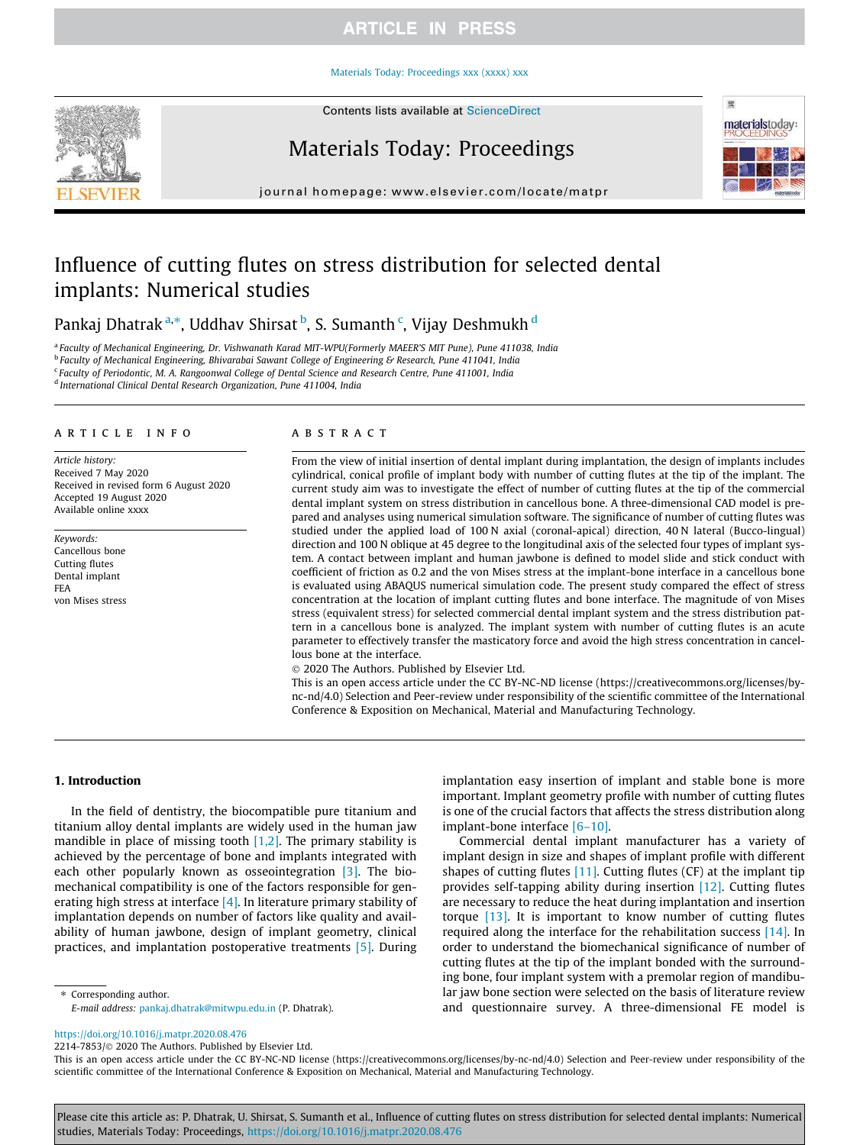## **ARTICLE IN PRESS**

#### Materials Today: Proceedings xxx (xxxx) xxx



Contents lists available at ScienceDirect

## Materials Today: Proceedings



journal homepage: www.elsevier.com/locate/matpr

# Influence of cutting flutes on stress distribution for selected dental implants: Numerical studies

Pankaj Dhatrak<sup>a,</sup>\*, Uddhav Shirsat <sup>b</sup>, S. Sumanth <sup>c</sup>, Vijay Deshmukh <sup>d</sup>

a *Faculty of Mechanical Engineering, Dr. Vishwanath Karad MIT-WPU(Formerly MAEER'S MIT Pune), Pune 411038, India*

b *Faculty of Mechanical Engineering, Bhivarabai Sawant College of Engineering & Research, Pune 411041, India*

c *Faculty of Periodontic, M. A. Rangoonwal College of Dental Science and Research Centre, Pune 411001, India*

d *International Clinical Dental Research Organization, Pune 411004, India*

#### article info

*Article history:* Received 7 May 2020 Received in revised form 6 August 2020 Accepted 19 August 2020 Available online xxxx

*Keywords:* Cancellous bone Cutting flutes Dental implant FEA von Mises stress

#### **ABSTRACT**

From the view of initial insertion of dental implant during implantation, the design of implants includes cylindrical, conical profile of implant body with number of cutting flutes at the tip of the implant. The current study aim was to investigate the effect of number of cutting flutes at the tip of the commercial dental implant system on stress distribution in cancellous bone. A three-dimensional CAD model is prepared and analyses using numerical simulation software. The significance of number of cutting flutes was studied under the applied load of 100 N axial (coronal-apical) direction, 40 N lateral (Bucco-lingual) direction and 100 N oblique at 45 degree to the longitudinal axis of the selected four types of implant system. A contact between implant and human jawbone is defined to model slide and stick conduct with coefficient of friction as 0.2 and the von Mises stress at the implant-bone interface in a cancellous bone is evaluated using ABAQUS numerical simulation code. The present study compared the effect of stress concentration at the location of implant cutting flutes and bone interface. The magnitude of von Mises stress (equivalent stress) for selected commercial dental implant system and the stress distribution pattern in a cancellous bone is analyzed. The implant system with number of cutting flutes is an acute parameter to effectively transfer the masticatory force and avoid the high stress concentration in cancellous bone at the interface.

2020 The Authors. Published by Elsevier Ltd.

This is an open access article under the CC BY-NC-ND license (https://creativecommons.org/licenses/bync-nd/4.0) Selection and Peer-review under responsibility of the scientific committee of the International Conference & Exposition on Mechanical, Material and Manufacturing Technology.

#### 1. Introduction

In the field of dentistry, the biocompatible pure titanium and titanium alloy dental implants are widely used in the human jaw mandible in place of missing tooth  $[1,2]$ . The primary stability is achieved by the percentage of bone and implants integrated with each other popularly known as osseointegration [3]. The biomechanical compatibility is one of the factors responsible for generating high stress at interface  $[4]$ . In literature primary stability of implantation depends on number of factors like quality and availability of human jawbone, design of implant geometry, clinical practices, and implantation postoperative treatments [5]. During

⇑ Corresponding author.

implantation easy insertion of implant and stable bone is more important. Implant geometry profile with number of cutting flutes is one of the crucial factors that affects the stress distribution along implant-bone interface [6–10].

Commercial dental implant manufacturer has a variety of implant design in size and shapes of implant profile with different shapes of cutting flutes [11]. Cutting flutes (CF) at the implant tip provides self-tapping ability during insertion [12]. Cutting flutes are necessary to reduce the heat during implantation and insertion torque [13]. It is important to know number of cutting flutes required along the interface for the rehabilitation success [14]. In order to understand the biomechanical significance of number of cutting flutes at the tip of the implant bonded with the surrounding bone, four implant system with a premolar region of mandibular jaw bone section were selected on the basis of literature review and questionnaire survey. A three-dimensional FE model is

https://doi.org/10.1016/j.matpr.2020.08.476

2214-7853/ 2020 The Authors. Published by Elsevier Ltd.

This is an open access article under the CC BY-NC-ND license (https://creativecommons.org/licenses/by-nc-nd/4.0) Selection and Peer-review under responsibility of the scientific committee of the International Conference & Exposition on Mechanical, Material and Manufacturing Technology.

Please cite this article as: P. Dhatrak, U. Shirsat, S. Sumanth et al., Influence of cutting flutes on stress distribution for selected dental implants: Numerical studies, Materials Today: Proceedings, https://doi.org/10.1016/j.matpr.2020.08.476

*E-mail address:* pankaj.dhatrak@mitwpu.edu.in (P. Dhatrak).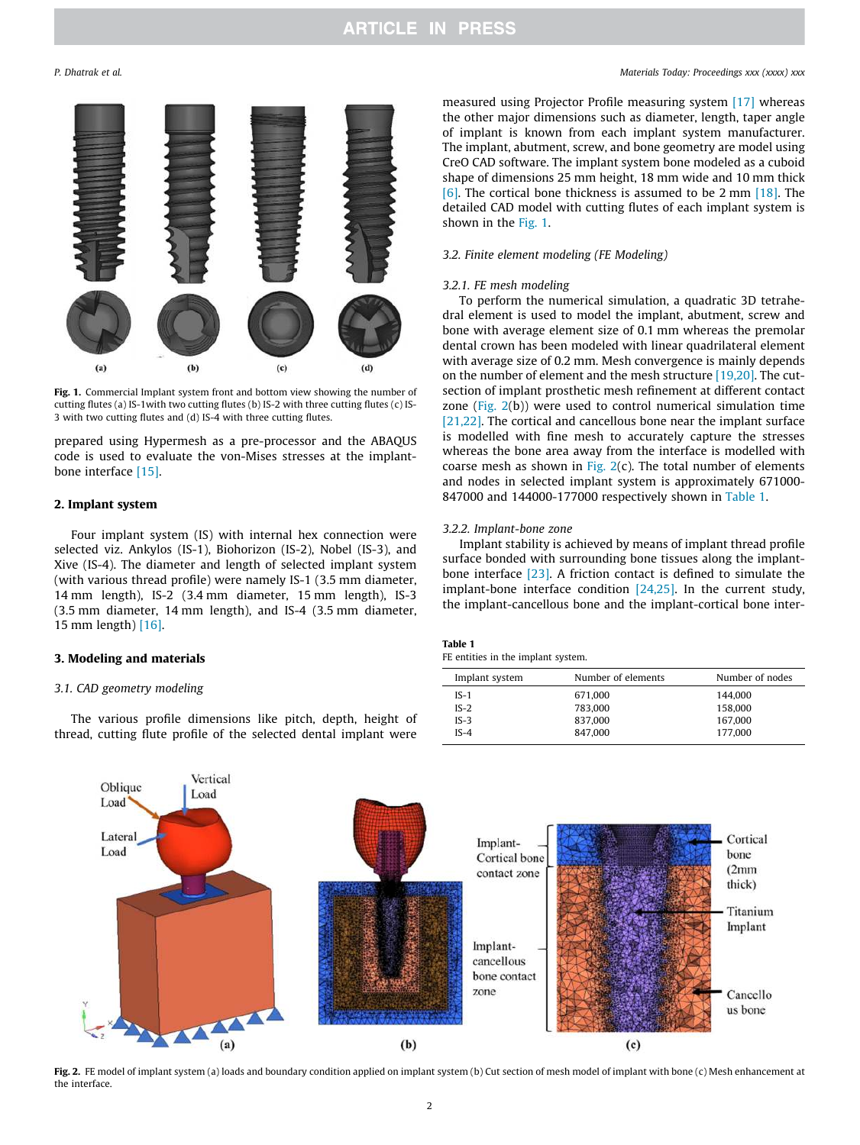

Fig. 1. Commercial Implant system front and bottom view showing the number of cutting flutes (a) IS-1with two cutting flutes (b) IS-2 with three cutting flutes (c) IS-3 with two cutting flutes and (d) IS-4 with three cutting flutes.

prepared using Hypermesh as a pre-processor and the ABAQUS code is used to evaluate the von-Mises stresses at the implantbone interface [15].

#### 2. Implant system

Four implant system (IS) with internal hex connection were selected viz. Ankylos (IS-1), Biohorizon (IS-2), Nobel (IS-3), and Xive (IS-4). The diameter and length of selected implant system (with various thread profile) were namely IS-1 (3.5 mm diameter, 14 mm length), IS-2 (3.4 mm diameter, 15 mm length), IS-3 (3.5 mm diameter, 14 mm length), and IS-4 (3.5 mm diameter, 15 mm length) [16].

#### 3. Modeling and materials

#### *3.1. CAD geometry modeling*

The various profile dimensions like pitch, depth, height of thread, cutting flute profile of the selected dental implant were

### *P. Dhatrak et al. Materials Today: Proceedings xxx (xxxx) xxx*

measured using Projector Profile measuring system [17] whereas the other major dimensions such as diameter, length, taper angle of implant is known from each implant system manufacturer. The implant, abutment, screw, and bone geometry are model using CreO CAD software. The implant system bone modeled as a cuboid shape of dimensions 25 mm height, 18 mm wide and 10 mm thick [6]. The cortical bone thickness is assumed to be 2 mm [18]. The detailed CAD model with cutting flutes of each implant system is shown in the Fig. 1.

### *3.2. Finite element modeling (FE Modeling)*

#### *3.2.1. FE mesh modeling*

To perform the numerical simulation, a quadratic 3D tetrahedral element is used to model the implant, abutment, screw and bone with average element size of 0.1 mm whereas the premolar dental crown has been modeled with linear quadrilateral element with average size of 0.2 mm. Mesh convergence is mainly depends on the number of element and the mesh structure [19,20]. The cutsection of implant prosthetic mesh refinement at different contact zone (Fig. 2(b)) were used to control numerical simulation time [21,22]. The cortical and cancellous bone near the implant surface is modelled with fine mesh to accurately capture the stresses whereas the bone area away from the interface is modelled with coarse mesh as shown in Fig.  $2(c)$ . The total number of elements and nodes in selected implant system is approximately 671000- 847000 and 144000-177000 respectively shown in Table 1.

### *3.2.2. Implant-bone zone*

Implant stability is achieved by means of implant thread profile surface bonded with surrounding bone tissues along the implantbone interface [23]. A friction contact is defined to simulate the implant-bone interface condition [24,25]. In the current study, the implant-cancellous bone and the implant-cortical bone inter-

| Table 1 |  |                                    |  |
|---------|--|------------------------------------|--|
|         |  | FE entities in the implant system. |  |

| Implant system | Number of elements | Number of nodes |
|----------------|--------------------|-----------------|
| $IS-1$         | 671.000            | 144.000         |
| $IS-2$         | 783.000            | 158,000         |
| $IS-3$         | 837.000            | 167.000         |
| $IS-4$         | 847.000            | 177.000         |
|                |                    |                 |



Fig. 2. FE model of implant system (a) loads and boundary condition applied on implant system (b) Cut section of mesh model of implant with bone (c) Mesh enhancement at the interface.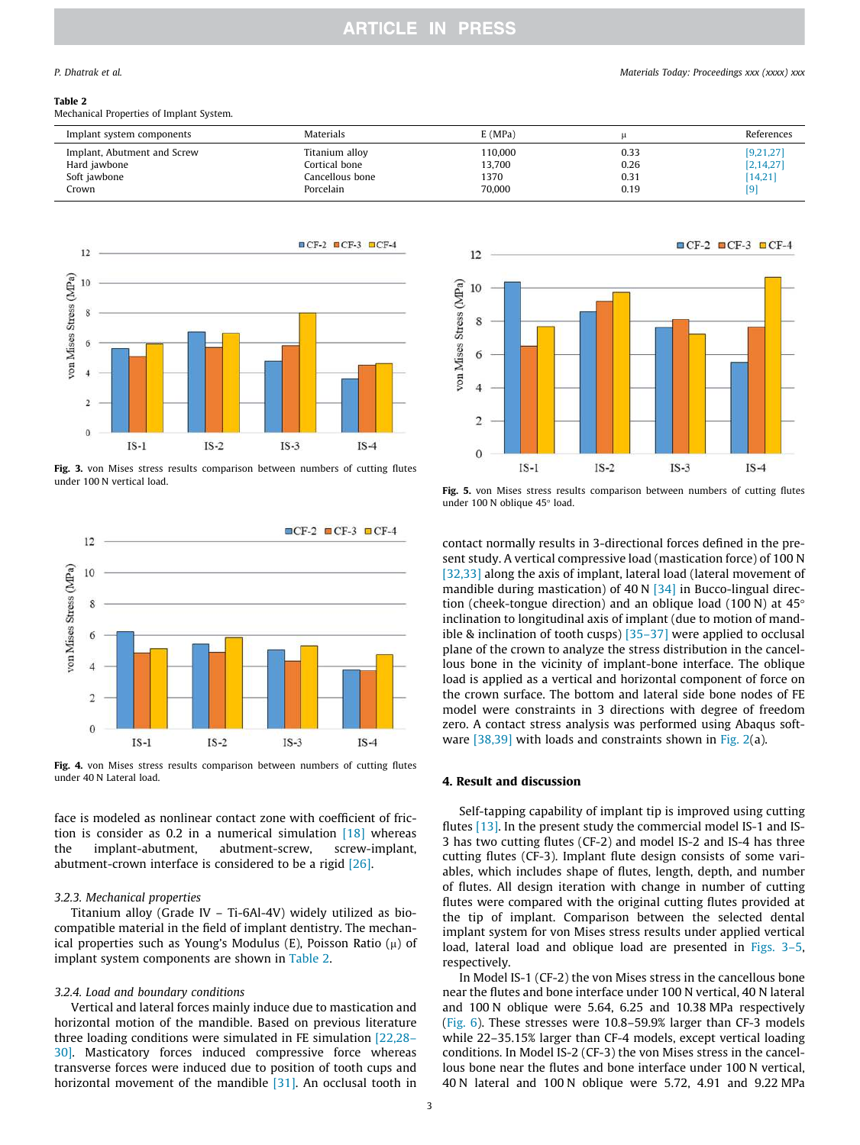#### Table 2

Mechanical Properties of Implant System.

| Implant system components   | <b>Materials</b> | E(MPa)  |      | References  |
|-----------------------------|------------------|---------|------|-------------|
| Implant, Abutment and Screw | Titanium alloy   | 110,000 | 0.33 | [9,21,27]   |
| Hard jawbone                | Cortical bone    | 13,700  | 0.26 | [2, 14, 27] |
| Soft jawbone                | Cancellous bone  | 1370    | 0.31 | [14, 21]    |
| Crown                       | Porcelain        | 70,000  | 0.19 | [9]         |



Fig. 3. von Mises stress results comparison between numbers of cutting flutes under 100 N vertical load.



Fig. 4. von Mises stress results comparison between numbers of cutting flutes under 40 N Lateral load.

face is modeled as nonlinear contact zone with coefficient of friction is consider as 0.2 in a numerical simulation  $[18]$  whereas the implant-abutment, abutment-screw, screw-implant, abutment-crown interface is considered to be a rigid [26].

### *3.2.3. Mechanical properties*

Titanium alloy (Grade IV – Ti-6Al-4V) widely utilized as biocompatible material in the field of implant dentistry. The mechanical properties such as Young's Modulus (E), Poisson Ratio  $(\mu)$  of implant system components are shown in Table 2.

#### *3.2.4. Load and boundary conditions*

Vertical and lateral forces mainly induce due to mastication and horizontal motion of the mandible. Based on previous literature three loading conditions were simulated in FE simulation [22,28– 30]. Masticatory forces induced compressive force whereas transverse forces were induced due to position of tooth cups and horizontal movement of the mandible [31]. An occlusal tooth in



Fig. 5. von Mises stress results comparison between numbers of cutting flutes under 100 N oblique 45° load.

contact normally results in 3-directional forces defined in the present study. A vertical compressive load (mastication force) of 100 N [32,33] along the axis of implant, lateral load (lateral movement of mandible during mastication) of 40 N [34] in Bucco-lingual direction (cheek-tongue direction) and an oblique load (100 N) at  $45^{\circ}$ inclination to longitudinal axis of implant (due to motion of mandible & inclination of tooth cusps) [35–37] were applied to occlusal plane of the crown to analyze the stress distribution in the cancellous bone in the vicinity of implant-bone interface. The oblique load is applied as a vertical and horizontal component of force on the crown surface. The bottom and lateral side bone nodes of FE model were constraints in 3 directions with degree of freedom zero. A contact stress analysis was performed using Abaqus software [38,39] with loads and constraints shown in Fig. 2(a).

#### 4. Result and discussion

Self-tapping capability of implant tip is improved using cutting flutes [13]. In the present study the commercial model IS-1 and IS-3 has two cutting flutes (CF-2) and model IS-2 and IS-4 has three cutting flutes (CF-3). Implant flute design consists of some variables, which includes shape of flutes, length, depth, and number of flutes. All design iteration with change in number of cutting flutes were compared with the original cutting flutes provided at the tip of implant. Comparison between the selected dental implant system for von Mises stress results under applied vertical load, lateral load and oblique load are presented in Figs. 3–5, respectively.

In Model IS-1 (CF-2) the von Mises stress in the cancellous bone near the flutes and bone interface under 100 N vertical, 40 N lateral and 100 N oblique were 5.64, 6.25 and 10.38 MPa respectively (Fig. 6). These stresses were 10.8–59.9% larger than CF-3 models while 22–35.15% larger than CF-4 models, except vertical loading conditions. In Model IS-2 (CF-3) the von Mises stress in the cancellous bone near the flutes and bone interface under 100 N vertical, 40 N lateral and 100 N oblique were 5.72, 4.91 and 9.22 MPa

#### *P. Dhatrak et al. Materials Today: Proceedings xxx (xxxx) xxx*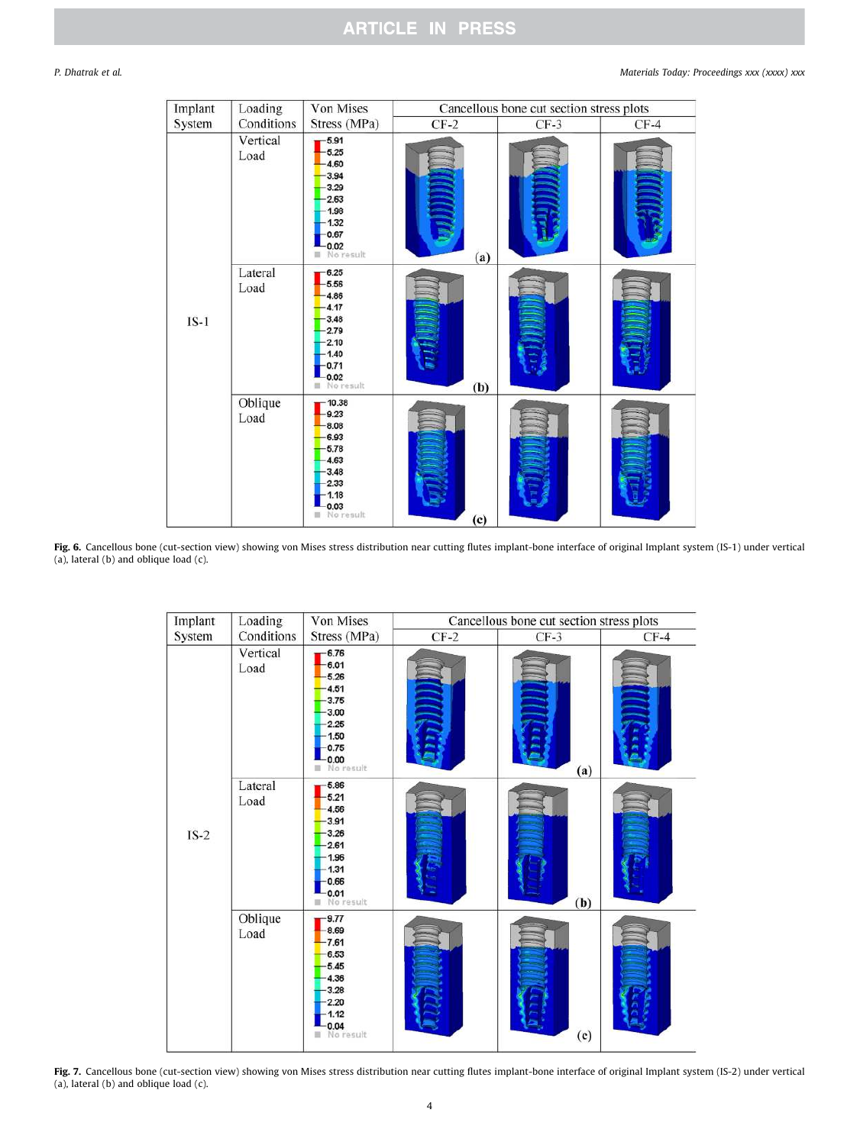## **ARTICLE IN PRESS**

| Implant | Loading          | Von Mises                                                                                         | Cancellous bone cut section stress plots |        |        |
|---------|------------------|---------------------------------------------------------------------------------------------------|------------------------------------------|--------|--------|
| System  | Conditions       | Stress (MPa)                                                                                      | $CF-2$                                   | $CF-3$ | $CF-4$ |
|         | Vertical<br>Load | $-5.91$<br>5.25<br>4.60<br>3.94<br>3.29<br>2.63<br>1.98<br>1.32<br>0.67<br>0.02<br>No result<br>٠ | (a)                                      |        |        |
| $IS-1$  | Lateral<br>Load  | 6.25<br>5.56<br>4.86<br>4.17<br>3.48<br>2.79<br>2.10<br>1.40<br>0.71<br>0.02<br>No result         | (b)                                      |        |        |
|         | Oblique<br>Load  | 10.38<br>9.23<br>8.08<br>6.93<br>$-5.78$<br>4.63<br>3.48<br>2.33<br>$-1.18$<br>0.03<br>No result  | (c)                                      |        |        |

Fig. 6. Cancellous bone (cut-section view) showing von Mises stress distribution near cutting flutes implant-bone interface of original Implant system (IS-1) under vertical (a), lateral (b) and oblique load (c).



Fig. 7. Cancellous bone (cut-section view) showing von Mises stress distribution near cutting flutes implant-bone interface of original Implant system (IS-2) under vertical (a), lateral (b) and oblique load (c).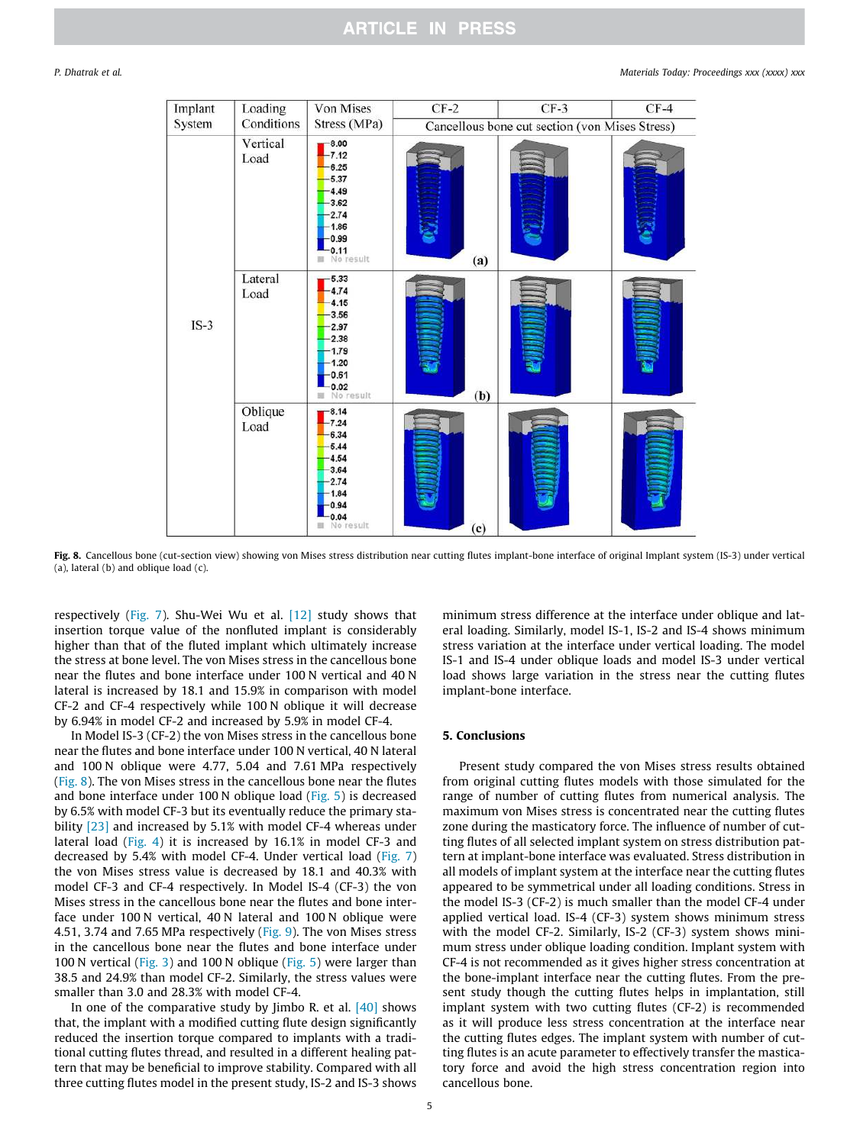

Fig. 8. Cancellous bone (cut-section view) showing von Mises stress distribution near cutting flutes implant-bone interface of original Implant system (IS-3) under vertical (a), lateral (b) and oblique load (c).

respectively (Fig. 7). Shu-Wei Wu et al. [12] study shows that insertion torque value of the nonfluted implant is considerably higher than that of the fluted implant which ultimately increase the stress at bone level. The von Mises stress in the cancellous bone near the flutes and bone interface under 100 N vertical and 40 N lateral is increased by 18.1 and 15.9% in comparison with model CF-2 and CF-4 respectively while 100 N oblique it will decrease by 6.94% in model CF-2 and increased by 5.9% in model CF-4.

In Model IS-3 (CF-2) the von Mises stress in the cancellous bone near the flutes and bone interface under 100 N vertical, 40 N lateral and 100 N oblique were 4.77, 5.04 and 7.61 MPa respectively (Fig. 8). The von Mises stress in the cancellous bone near the flutes and bone interface under 100 N oblique load (Fig. 5) is decreased by 6.5% with model CF-3 but its eventually reduce the primary stability [23] and increased by 5.1% with model CF-4 whereas under lateral load (Fig. 4) it is increased by 16.1% in model CF-3 and decreased by 5.4% with model CF-4. Under vertical load (Fig. 7) the von Mises stress value is decreased by 18.1 and 40.3% with model CF-3 and CF-4 respectively. In Model IS-4 (CF-3) the von Mises stress in the cancellous bone near the flutes and bone interface under 100 N vertical, 40 N lateral and 100 N oblique were 4.51, 3.74 and 7.65 MPa respectively (Fig. 9). The von Mises stress in the cancellous bone near the flutes and bone interface under 100 N vertical (Fig. 3) and 100 N oblique (Fig. 5) were larger than 38.5 and 24.9% than model CF-2. Similarly, the stress values were smaller than 3.0 and 28.3% with model CF-4.

In one of the comparative study by  $\lim$  R. et al.  $[40]$  shows that, the implant with a modified cutting flute design significantly reduced the insertion torque compared to implants with a traditional cutting flutes thread, and resulted in a different healing pattern that may be beneficial to improve stability. Compared with all three cutting flutes model in the present study, IS-2 and IS-3 shows

minimum stress difference at the interface under oblique and lateral loading. Similarly, model IS-1, IS-2 and IS-4 shows minimum stress variation at the interface under vertical loading. The model IS-1 and IS-4 under oblique loads and model IS-3 under vertical load shows large variation in the stress near the cutting flutes implant-bone interface.

### 5. Conclusions

Present study compared the von Mises stress results obtained from original cutting flutes models with those simulated for the range of number of cutting flutes from numerical analysis. The maximum von Mises stress is concentrated near the cutting flutes zone during the masticatory force. The influence of number of cutting flutes of all selected implant system on stress distribution pattern at implant-bone interface was evaluated. Stress distribution in all models of implant system at the interface near the cutting flutes appeared to be symmetrical under all loading conditions. Stress in the model IS-3 (CF-2) is much smaller than the model CF-4 under applied vertical load. IS-4 (CF-3) system shows minimum stress with the model CF-2. Similarly, IS-2 (CF-3) system shows minimum stress under oblique loading condition. Implant system with CF-4 is not recommended as it gives higher stress concentration at the bone-implant interface near the cutting flutes. From the present study though the cutting flutes helps in implantation, still implant system with two cutting flutes (CF-2) is recommended as it will produce less stress concentration at the interface near the cutting flutes edges. The implant system with number of cutting flutes is an acute parameter to effectively transfer the masticatory force and avoid the high stress concentration region into cancellous bone.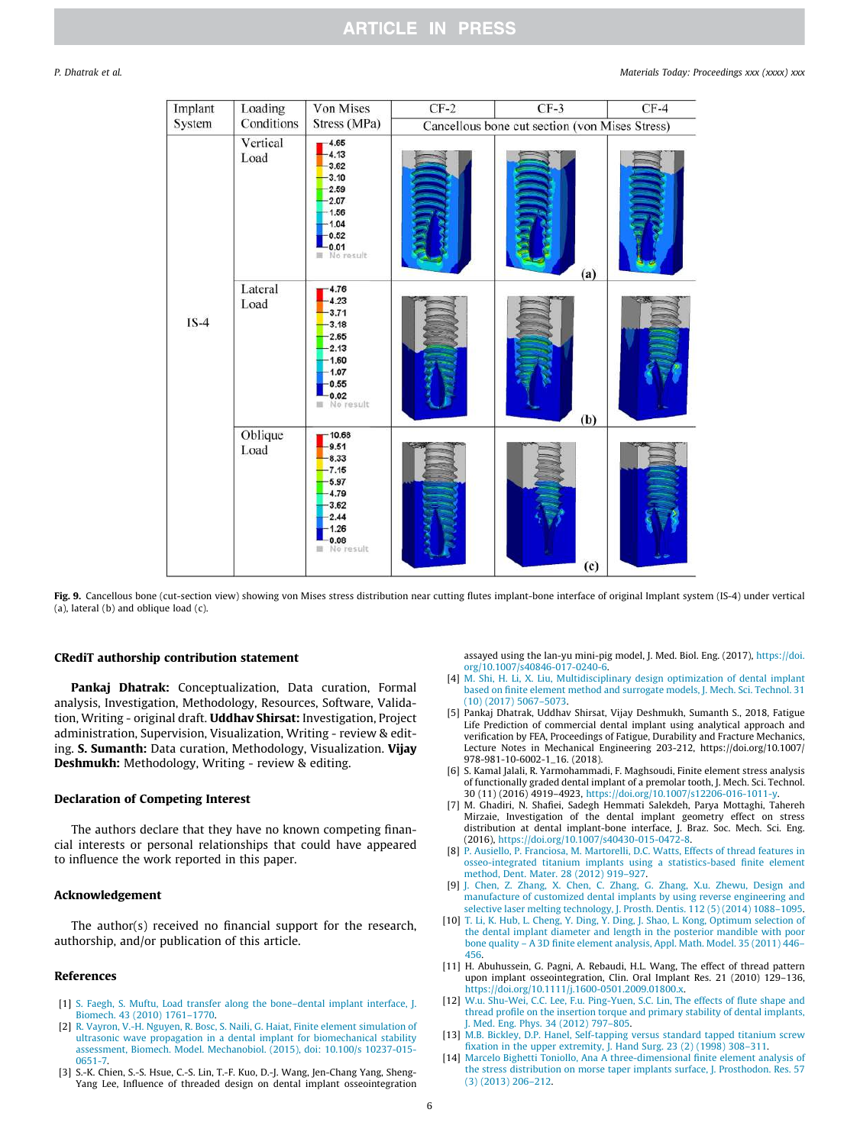| Implant | Loading          | Von Mises                                                                                          | $CF-2$                                         | $CF-3$ | $CF-4$ |
|---------|------------------|----------------------------------------------------------------------------------------------------|------------------------------------------------|--------|--------|
| System  | Conditions       | Stress (MPa)                                                                                       | Cancellous bone cut section (von Mises Stress) |        |        |
|         | Vertical<br>Load | $-4.65$<br>4.13<br>3.62<br>$-3.10$<br>2.59<br>2.07<br>1.56<br>1.04<br>$-0.52$<br>0.01<br>No result |                                                | (a)    |        |
| $IS-4$  | Lateral<br>Load  | 4.76<br>4.23<br>3.71<br>3.18<br>2.65<br>2.13<br>1.60<br>1.07<br>0.55<br>0.02<br>No result<br>這     |                                                | (b)    |        |
|         | Oblique<br>Load  | 10.68<br>9.51<br>8.33<br>$-7.15$<br>5.97<br>4.79<br>3.62<br>2.44<br>1.26<br>0.08<br>No result<br>題 |                                                | (c)    |        |

Fig. 9. Cancellous bone (cut-section view) showing von Mises stress distribution near cutting flutes implant-bone interface of original Implant system (IS-4) under vertical (a), lateral (b) and oblique load (c).

### CRediT authorship contribution statement

Pankaj Dhatrak: Conceptualization, Data curation, Formal analysis, Investigation, Methodology, Resources, Software, Validation, Writing - original draft. **Uddhav Shirsat:** Investigation, Project administration, Supervision, Visualization, Writing - review & editing. S. Sumanth: Data curation, Methodology, Visualization. Vijay Deshmukh: Methodology, Writing - review & editing.

#### Declaration of Competing Interest

The authors declare that they have no known competing financial interests or personal relationships that could have appeared to influence the work reported in this paper.

#### Acknowledgement

The author(s) received no financial support for the research, authorship, and/or publication of this article.

### References

- [1] S. Faegh, S. Muftu, Load transfer along the bone–dental implant interface, J. Biomech. 43 (2010) 1761–1770.
- [2] R. Vayron, V.-H. Nguyen, R. Bosc, S. Naili, G. Haiat, Finite element simulation of ultrasonic wave propagation in a dental implant for biomechanical stability assessment, Biomech. Model. Mechanobiol. (2015), doi: 10.100/s 10237-015- 0651-7.
- [3] S.-K. Chien, S.-S. Hsue, C.-S. Lin, T.-F. Kuo, D.-J. Wang, Jen-Chang Yang, Sheng-Yang Lee, Influence of threaded design on dental implant osseointegration

assayed using the lan-yu mini-pig model, J. Med. Biol. Eng. (2017), https://doi. org/10.1007/s40846-017-0240-6.

- [4] M. Shi, H. Li, X. Liu, Multidisciplinary design optimization of dental implant based on finite element method and surrogate models, J. Mech. Sci. Technol. 31 (10) (2017) 5067–5073.
- [5] Pankaj Dhatrak, Uddhav Shirsat, Vijay Deshmukh, Sumanth S., 2018, Fatigue Life Prediction of commercial dental implant using analytical approach and verification by FEA, Proceedings of Fatigue, Durability and Fracture Mechanics, Lecture Notes in Mechanical Engineering 203-212, https://doi.org/10.1007/ 978-981-10-6002-1\_16. (2018).
- [6] S. Kamal Jalali, R. Yarmohammadi, F. Maghsoudi, Finite element stress analysis of functionally graded dental implant of a premolar tooth, J. Mech. Sci. Technol. 30 (11) (2016) 4919–4923, https://doi.org/10.1007/s12206-016-1011-y.
- [7] M. Ghadiri, N. Shafiei, Sadegh Hemmati Salekdeh, Parya Mottaghi, Tahereh Mirzaie, Investigation of the dental implant geometry effect on stress distribution at dental implant-bone interface, J. Braz. Soc. Mech. Sci. Eng. (2016), https://doi.org/10.1007/s40430-015-0472-8.
- [8] P. Ausiello, P. Franciosa, M. Martorelli, D.C. Watts, Effects of thread features in osseo-integrated titanium implants using a statistics-based finite element method, Dent. Mater. 28 (2012) 919–927.
- [9] J. Chen, Z. Zhang, X. Chen, C. Zhang, G. Zhang, X.u. Zhewu, Design and manufacture of customized dental implants by using reverse engineering and selective laser melting technology, J. Prosth. Dentis. 112 (5) (2014) 1088–1095.
- [10] T. Li, K. Hub, L. Cheng, Y. Ding, Y. Ding, J. Shao, L. Kong, Optimum selection of the dental implant diameter and length in the posterior mandible with poor bone quality - A 3D finite element analysis, Appl. Math. Model. 35 (2011) 446-456.
- [11] H. Abuhussein, G. Pagni, A. Rebaudi, H.L. Wang, The effect of thread pattern upon implant osseointegration, Clin. Oral Implant Res. 21 (2010) 129–136, https://doi.org/10.1111/j.1600-0501.2009.01800.x.
- [12] W.u. Shu-Wei, C.C. Lee, F.u. Ping-Yuen, S.C. Lin, The effects of flute shape and thread profile on the insertion torque and primary stability of dental implants, J. Med. Eng. Phys. 34 (2012) 797–805.
- [13] M.B. Bickley, D.P. Hanel, Self-tapping versus standard tapped titanium screw fixation in the upper extremity, J. Hand Surg. 23 (2) (1998) 308–311.
- [14] Marcelo Bighetti Toniollo, Ana A three-dimensional finite element analysis of the stress distribution on morse taper implants surface, J. Prosthodon. Res. 57 (3) (2013) 206–212.